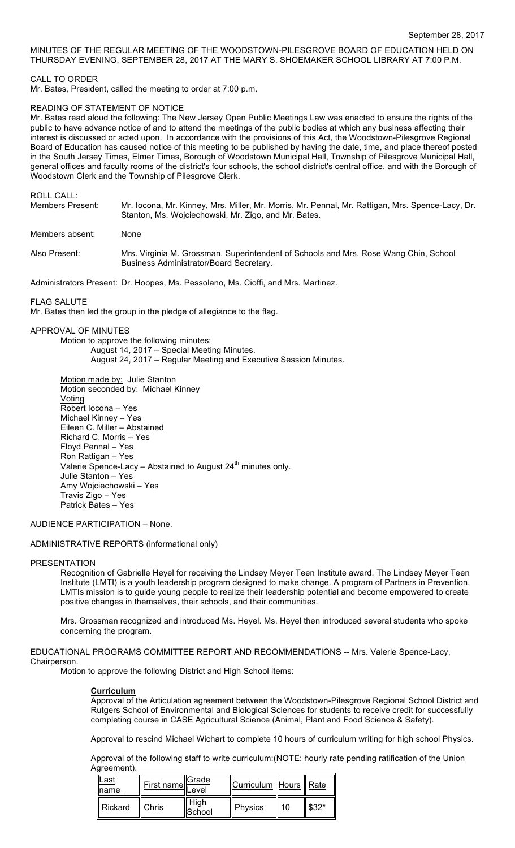# MINUTES OF THE REGULAR MEETING OF THE WOODSTOWN-PILESGROVE BOARD OF EDUCATION HELD ON THURSDAY EVENING, SEPTEMBER 28, 2017 AT THE MARY S. SHOEMAKER SCHOOL LIBRARY AT 7:00 P.M.

## CALL TO ORDER

Mr. Bates, President, called the meeting to order at 7:00 p.m.

### READING OF STATEMENT OF NOTICE

Mr. Bates read aloud the following: The New Jersey Open Public Meetings Law was enacted to ensure the rights of the public to have advance notice of and to attend the meetings of the public bodies at which any business affecting their interest is discussed or acted upon. In accordance with the provisions of this Act, the Woodstown-Pilesgrove Regional Board of Education has caused notice of this meeting to be published by having the date, time, and place thereof posted in the South Jersey Times, Elmer Times, Borough of Woodstown Municipal Hall, Township of Pilesgrove Municipal Hall, general offices and faculty rooms of the district's four schools, the school district's central office, and with the Borough of Woodstown Clerk and the Township of Pilesgrove Clerk.

ROLL CALL:

| Members Present: | Mr. locona, Mr. Kinney, Mrs. Miller, Mr. Morris, Mr. Pennal, Mr. Rattigan, Mrs. Spence-Lacy, Dr.<br>Stanton, Ms. Wojciechowski, Mr. Zigo, and Mr. Bates. |
|------------------|----------------------------------------------------------------------------------------------------------------------------------------------------------|
| Members absent:  | None                                                                                                                                                     |
| Also Present:    | Mrs. Virginia M. Grossman, Superintendent of Schools and Mrs. Rose Wang Chin, School<br>Business Administrator/Board Secretary.                          |

Administrators Present: Dr. Hoopes, Ms. Pessolano, Ms. Cioffi, and Mrs. Martinez.

FLAG SALUTE

Mr. Bates then led the group in the pledge of allegiance to the flag.

### APPROVAL OF MINUTES

Motion to approve the following minutes: August 14, 2017 – Special Meeting Minutes. August 24, 2017 – Regular Meeting and Executive Session Minutes.

Motion made by: Julie Stanton Motion seconded by: Michael Kinney Voting Robert Iocona – Yes Michael Kinney – Yes Eileen C. Miller – Abstained Richard C. Morris – Yes Floyd Pennal – Yes Ron Rattigan – Yes Valerie Spence-Lacy – Abstained to August  $24<sup>th</sup>$  minutes only. Julie Stanton – Yes Amy Wojciechowski – Yes Travis Zigo – Yes Patrick Bates – Yes

AUDIENCE PARTICIPATION – None.

### ADMINISTRATIVE REPORTS (informational only)

### PRESENTATION

Recognition of Gabrielle Heyel for receiving the Lindsey Meyer Teen Institute award. The Lindsey Meyer Teen Institute (LMTI) is a youth leadership program designed to make change. A program of Partners in Prevention, LMTIs mission is to guide young people to realize their leadership potential and become empowered to create positive changes in themselves, their schools, and their communities.

Mrs. Grossman recognized and introduced Ms. Heyel. Ms. Heyel then introduced several students who spoke concerning the program.

EDUCATIONAL PROGRAMS COMMITTEE REPORT AND RECOMMENDATIONS -- Mrs. Valerie Spence-Lacy, Chairperson.

Motion to approve the following District and High School items:

### **Curriculum**

Approval of the Articulation agreement between the Woodstown-Pilesgrove Regional School District and Rutgers School of Environmental and Biological Sciences for students to receive credit for successfully completing course in CASE Agricultural Science (Animal, Plant and Food Science & Safety).

Approval to rescind Michael Wichart to complete 10 hours of curriculum writing for high school Physics.

Approval of the following staff to write curriculum:(NOTE: hourly rate pending ratification of the Union Agreement).

| Last<br><b>Iname</b> | First name | ∥Grade<br>Level | Curriculum   Hours    Rate |    |        |
|----------------------|------------|-----------------|----------------------------|----|--------|
| Rickard              | Chris      | High<br>School  | Physics                    | 10 | $$32*$ |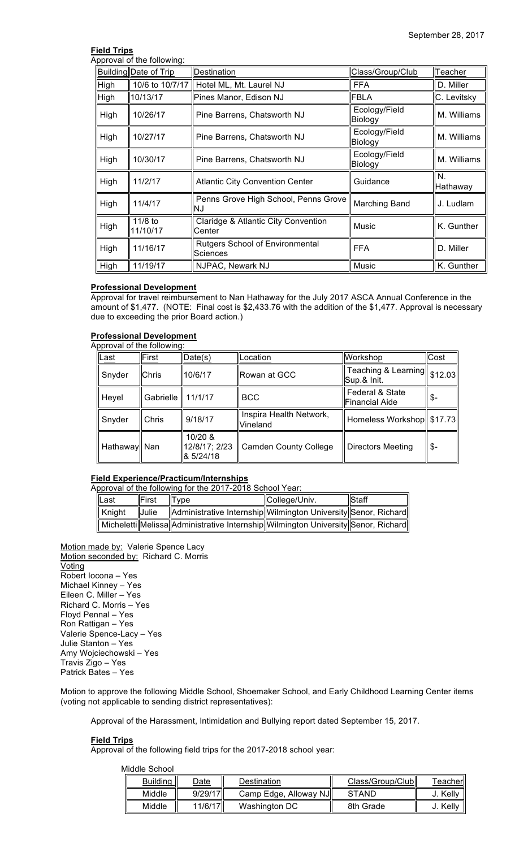# **Field Trips**

Approval of the following:

|             | Building Date of Trip | Destination                                        | Class/Group/Club         | Teacher        |
|-------------|-----------------------|----------------------------------------------------|--------------------------|----------------|
| <b>High</b> | 10/6 to 10/7/17       | Hotel ML, Mt. Laurel NJ                            | <b>FFA</b>               | D. Miller      |
| <b>High</b> | 10/13/17              | Pines Manor, Edison NJ                             | <b>FBLA</b>              | C. Levitsky    |
| High        | 10/26/17              | Pine Barrens, Chatsworth NJ                        | Ecology/Field<br>Biology | M. Williams    |
| High        | 10/27/17              | Pine Barrens, Chatsworth NJ                        | Ecology/Field<br>Biology | M. Williams    |
| High        | 10/30/17              | Pine Barrens, Chatsworth NJ                        | Ecology/Field<br>Biology | M. Williams    |
| High        | 11/2/17               | <b>Atlantic City Convention Center</b>             | Guidance                 | N.<br>Hathaway |
| High        | 11/4/17               | Penns Grove High School, Penns Grove<br>ΝJ         | <b>Marching Band</b>     | J. Ludlam      |
| High        | 11/8 to<br>11/10/17   | Claridge & Atlantic City Convention<br>Center      | Music                    | K. Gunther     |
| High        | 11/16/17              | <b>Rutgers School of Environmental</b><br>Sciences | <b>FFA</b>               | D. Miller      |
| High        | 11/19/17              | NJPAC, Newark NJ                                   | Music                    | K. Gunther     |

# **Professional Development**

Approval for travel reimbursement to Nan Hathaway for the July 2017 ASCA Annual Conference in the amount of \$1,477. (NOTE: Final cost is \$2,433.76 with the addition of the \$1,477. Approval is necessary due to exceeding the prior Board action.)

# **Professional Development**

|              | Approval of the following: |                                       |                                            |                                          |         |  |
|--------------|----------------------------|---------------------------------------|--------------------------------------------|------------------------------------------|---------|--|
| <u>Last</u>  | First                      | Date(s)                               | Location                                   | Workshop                                 | Cost    |  |
| Snyder       | Chris                      | 10/6/17                               | ∥Rowan at GCC                              | Teaching & Learning<br>Sup.& Init.       | \$12.03 |  |
| Heyel        | Gabrielle                  | 11/1/17                               | <b>BCC</b>                                 | Federal & State<br><b>Financial Aide</b> | \$-     |  |
| Snyder       | Chris                      | 9/18/17                               | Inspira Health Network,<br><b>Vineland</b> | Homeless Workshop   \$17.73              |         |  |
| Hathaway Nan |                            | 10/20 &<br>12/8/17; 2/23<br>8 5/24/18 | <b>Camden County College</b>               | Directors Meeting                        | \$-     |  |

# **Field Experience/Practicum/Internships**

Approval of the following for the 2017-2018 School Year:

| lLast  | <b>IFirst</b> | Type                                                                                  | College/Univ. | <b>Staff</b> |
|--------|---------------|---------------------------------------------------------------------------------------|---------------|--------------|
| Kniaht | <b>Uulie</b>  | Administrative Internship  Wilmington University  Senor, Richard                      |               |              |
|        |               | Micheletti  Melissa  Administrative Internship  Wilmington University  Senor, Richard |               |              |

Motion made by: Valerie Spence Lacy Motion seconded by: Richard C. Morris Voting Robert Iocona – Yes Michael Kinney – Yes Eileen C. Miller – Yes Richard C. Morris – Yes Floyd Pennal – Yes Ron Rattigan – Yes Valerie Spence-Lacy – Yes Julie Stanton – Yes Amy Wojciechowski – Yes Travis Zigo – Yes Patrick Bates – Yes

Motion to approve the following Middle School, Shoemaker School, and Early Childhood Learning Center items (voting not applicable to sending district representatives):

Approval of the Harassment, Intimidation and Bullying report dated September 15, 2017.

### **Field Trips**

Approval of the following field trips for the 2017-2018 school year:

| Middle School   |         |                       |                  |          |
|-----------------|---------|-----------------------|------------------|----------|
| <b>Building</b> | Date    | Destination           | Class/Group/Club | Teacher∥ |
| Middle          | 9/29/17 | Camp Edge, Alloway NJ | <b>STAND</b>     | J. Kelly |
| Middle          | 11/6/17 | Washington DC         | 8th Grade        | J. Kelly |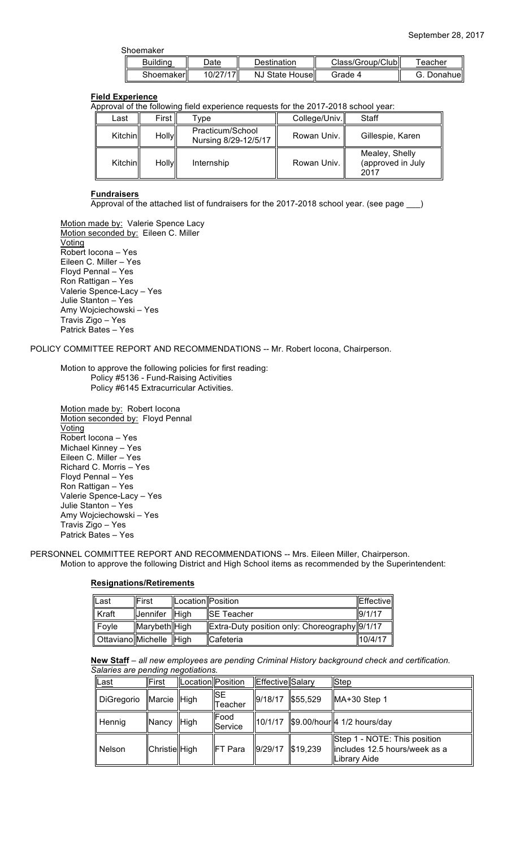| Shoemaker       |          |                  |                    |            |
|-----------------|----------|------------------|--------------------|------------|
| <b>Building</b> | Date     | Destination      | Class/Group/Clubll | Teacher    |
| Shoemakerll     | 10/27/17 | NJ State Housell | Grade 4            | G. Donahue |

# **Field Experience**

Approval of the following field experience requests for the 2017-2018 school year:

| Last     | First        | ™vpe                                     | College/Univ. | Staff                                       |
|----------|--------------|------------------------------------------|---------------|---------------------------------------------|
| Kitchinl | <b>Holly</b> | Practicum/School<br>Nursing 8/29-12/5/17 | Rowan Univ.   | Gillespie, Karen                            |
| Kitchinl | <b>Holly</b> | Internship                               | Rowan Univ.   | Mealey, Shelly<br>(approved in July<br>2017 |

### **Fundraisers**

Approval of the attached list of fundraisers for the 2017-2018 school year. (see page \_\_\_)

Motion made by: Valerie Spence Lacy Motion seconded by: Eileen C. Miller **Voting** Robert Iocona – Yes Eileen C. Miller – Yes Floyd Pennal – Yes Ron Rattigan – Yes Valerie Spence-Lacy – Yes Julie Stanton – Yes Amy Wojciechowski – Yes Travis Zigo – Yes Patrick Bates – Yes

POLICY COMMITTEE REPORT AND RECOMMENDATIONS -- Mr. Robert Iocona, Chairperson.

Motion to approve the following policies for first reading: Policy #5136 - Fund-Raising Activities Policy #6145 Extracurricular Activities.

Motion made by: Robert locona Motion seconded by: Floyd Pennal Voting Robert Iocona – Yes Michael Kinney – Yes Eileen C. Miller – Yes Richard C. Morris – Yes Floyd Pennal – Yes Ron Rattigan – Yes Valerie Spence-Lacy – Yes Julie Stanton – Yes Amy Wojciechowski – Yes Travis Zigo – Yes Patrick Bates – Yes

PERSONNEL COMMITTEE REPORT AND RECOMMENDATIONS -- Mrs. Eileen Miller, Chairperson. Motion to approve the following District and High School items as recommended by the Superintendent:

# **Resignations/Retirements**

| Last                       | First           | lLocationllPosition |                                               | Effectivel |
|----------------------------|-----------------|---------------------|-----------------------------------------------|------------|
| $\ $ Kraft                 | <b>Jennifer</b> | <b>IHigh</b>        | <b>ISE Teacher</b>                            | 9/1/17     |
| $\ $ Foyle                 | Marybeth High   |                     | Extra-Duty position only: Choreography 9/1/17 |            |
| Ottaviano  Michelle   High |                 |                     | <b>Cafeteria</b>                              | 10/4/17    |

**New Staff** – *all new employees are pending Criminal History background check and certification. Salaries are pending negotiations.*

| Last              | First         | Location Position |                        | Effective Salary |                      | <b>Step</b>                                                                    |
|-------------------|---------------|-------------------|------------------------|------------------|----------------------|--------------------------------------------------------------------------------|
| <b>DiGregorio</b> | Marcie High   |                   | ∥SE<br>Teacher         | 9/18/17          | \$55,529             | $MA+30$ Step 1                                                                 |
| Hennig            | Nancy         | High              | Food<br><b>Service</b> | 10/1/17          |                      | \$9.00/hour 4 1/2 hours/day                                                    |
| <b>Nelson</b>     | Christie High |                   | ∥FT Para               | 9/29/17          | $\frac{1}{3}$ 19,239 | Step 1 - NOTE: This position<br>lincludes 12.5 hours/week as a<br>Library Aide |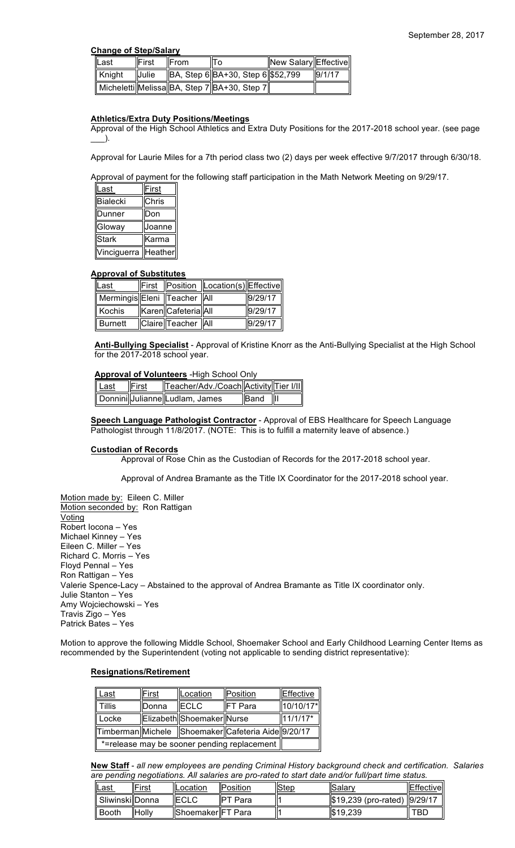## **Change of Step/Salary**

| llLast             | ∥First       | <b>IFrom</b> | То                                          | New Salary Effective |        |
|--------------------|--------------|--------------|---------------------------------------------|----------------------|--------|
| $\parallel$ Knight | <b>Julie</b> |              | $  BA, Step 6  BA+30, Step 6  $52,799$      |                      | 9/1/17 |
|                    |              |              | Micheletti Melissa BA, Step 7 BA+30, Step 7 |                      |        |

# **Athletics/Extra Duty Positions/Meetings**

Approval of the High School Athletics and Extra Duty Positions for the 2017-2018 school year. (see page  $)$ .

Approval for Laurie Miles for a 7th period class two (2) days per week effective 9/7/2017 through 6/30/18.

Approval of payment for the following staff participation in the Math Network Meeting on 9/29/17.

| Last            | First   |
|-----------------|---------|
| <b>Bialecki</b> | Chris   |
| Dunner          | Don     |
| Gloway          | Joanne  |
| <b>Stark</b>    | Karma   |
| Vinciguerra     | Heather |

# **Approval of Substitutes**

| Last                            |                     | First   Position   Location(s)  Effective |         |
|---------------------------------|---------------------|-------------------------------------------|---------|
| Mermingis Eleni   Teacher   All |                     |                                           | 9/29/17 |
| Kochis                          | Karen Cafeteria All |                                           | 9/29/17 |
| ∥ Burnett                       | Claire Teacher All  |                                           | 9/29/17 |

**Anti-Bullying Specialist** - Approval of Kristine Knorr as the Anti-Bullying Specialist at the High School for the 2017-2018 school year.

### **Approval of Volunteers** -High School Only

| Last | $\Vert$ First | Teacher/Adv./Coach Activity Tier I/II |             |     |
|------|---------------|---------------------------------------|-------------|-----|
|      |               | Donnini Julianne Ludlam, James        | <b>Band</b> | llu |

**Speech Language Pathologist Contractor** - Approval of EBS Healthcare for Speech Language Pathologist through 11/8/2017. (NOTE: This is to fulfill a maternity leave of absence.)

### **Custodian of Records**

Approval of Rose Chin as the Custodian of Records for the 2017-2018 school year.

Approval of Andrea Bramante as the Title IX Coordinator for the 2017-2018 school year.

Motion made by: Eileen C. Miller Motion seconded by: Ron Rattigan Voting Robert Iocona – Yes Michael Kinney – Yes Eileen C. Miller – Yes Richard C. Morris – Yes Floyd Pennal – Yes Ron Rattigan – Yes Valerie Spence-Lacy – Abstained to the approval of Andrea Bramante as Title IX coordinator only. Julie Stanton – Yes Amy Wojciechowski – Yes Travis Zigo – Yes Patrick Bates – Yes

Motion to approve the following Middle School, Shoemaker School and Early Childhood Learning Center Items as recommended by the Superintendent (voting not applicable to sending district representative):

# **Resignations/Retirement**

| Last                                               | First | Location                  | Position       | Effective  |
|----------------------------------------------------|-------|---------------------------|----------------|------------|
| <b>Tillis</b>                                      | Donna | <b>IECLC</b>              | <b>FT</b> Para | 10/10/17*  |
| Locke                                              |       | Elizabeth Shoemaker Nurse |                | $11/1/17*$ |
| Timberman Michele Shoemaker Cafeteria Aide 9/20/17 |       |                           |                |            |
| *=release may be sooner pending replacement        |       |                           |                |            |

**New Staff** - *all new employees are pending Criminal History background check and certification. Salaries are pending negotiations. All salaries are pro-rated to start date and/or full/part time status.*

| <u>'Last</u>       | 'First       | <b>ILocation</b>          | <b>IPosition</b> | "Step | llSalarv                     | <b>Effective</b> |
|--------------------|--------------|---------------------------|------------------|-------|------------------------------|------------------|
| ll Sliwinski Donna |              | ∥ECLC                     | <b>IPT Para</b>  |       | \$19,239 (pro-rated) 9/29/17 |                  |
| ∣ Booth            | <b>Holly</b> | <b>IShoemakerIFT</b> Para |                  |       | $\frac{1}{2}$ \$19,239       | TBD              |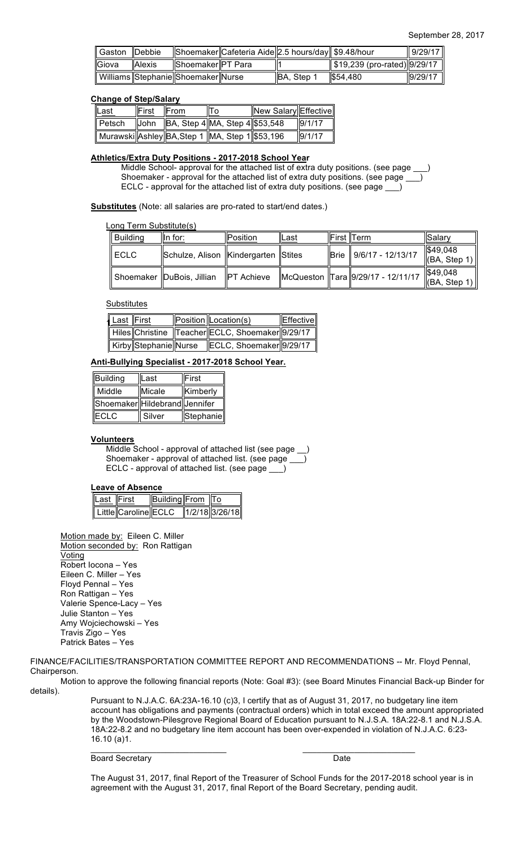| Gaston Debbie |               |                                    | Shoemaker Cafeteria Aide 2.5 hours/day \$9.48/hour |             |                              | 9/29/17 |
|---------------|---------------|------------------------------------|----------------------------------------------------|-------------|------------------------------|---------|
| ∥Giova        | <b>Alexis</b> | Shoemaker  PT Para                 |                                                    |             | \$19,239 (pro-rated) 9/29/17 |         |
|               |               | Williams Stephanie Shoemaker Nurse |                                                    | IBA. Step 1 | 1\$54.480                    | 9/29/17 |

### **Change of Step/Salary**

| <u> ∥Last</u> | l∣First | From | To                                                      | New Salary Effective |        |
|---------------|---------|------|---------------------------------------------------------|----------------------|--------|
| ∥ Petsch.     |         |      | $\ $ John $\ BA$ , Step 4 $\ MA$ , Step 4 $\ $ \$53,548 |                      | 9/1/17 |
|               |         |      | ∥ Murawski∥Ashley∥BA,Step 1 ∥MA, Step 1∥\$53,196        |                      | 9/1/17 |

### **Athletics/Extra Duty Positions - 2017-2018 School Year**

Middle School- approval for the attached list of extra duty positions. (see page \_ Shoemaker - approval for the attached list of extra duty positions. (see page \_ ECLC - approval for the attached list of extra duty positions. (see page \_\_\_)

**Substitutes** (Note: all salaries are pro-rated to start/end dates.)

Long Term Substitute(s)

| Building | $\parallel$ In for:                     | llPosition⊹     | lLast | ∥First ∥Term                          | l Salar∨                                      |
|----------|-----------------------------------------|-----------------|-------|---------------------------------------|-----------------------------------------------|
| I ECLC   | Schulze, Alison   Kindergarten   Stites |                 |       | Brie    9/6/17 - 12/13/17             | $\frac{1}{2}49,048$<br>$  $ (BA, Step 1) $  $ |
|          | Shoemaker   DuBois, Jillian             | $\ $ PT Achieve |       | McQueston   Tara   9/29/17 - 12/11/17 | $\frac{1}{2}49,048$<br>$  $ (BA, Step 1) $  $ |

### **Substitutes**

| Last First |                       | Position Location(s)                                | Effective |
|------------|-----------------------|-----------------------------------------------------|-----------|
|            |                       | Hiles Christine   Teacher ECLC, Shoemaker   9/29/17 |           |
|            | Kirby Stephanie Nurse | ECLC, Shoemaker  9/29/17                            |           |

## **Anti-Bullying Specialist - 2017-2018 School Year.**

| Building                      | Last   | First     |  |
|-------------------------------|--------|-----------|--|
| Middle                        | Micale | Kimberly  |  |
| Shoemaker Hildebrand Jennifer |        |           |  |
| <b>ECLC</b>                   | Silver | Stephanie |  |

### **Volunteers**

Middle School - approval of attached list (see page \_ Shoemaker - approval of attached list. (see page \_ ECLC - approval of attached list. (see page \_\_\_)

### **Leave of Absence**

| Last First |                      | Building From To |                       |
|------------|----------------------|------------------|-----------------------|
|            | Little Caroline ECLC |                  | $\ 1/2/18\ 3/26/18\ $ |

Motion made by: Eileen C. Miller Motion seconded by: Ron Rattigan **Voting** Robert Iocona – Yes Eileen C. Miller – Yes Floyd Pennal – Yes Ron Rattigan – Yes Valerie Spence-Lacy – Yes Julie Stanton – Yes Amy Wojciechowski – Yes Travis Zigo – Yes Patrick Bates – Yes

FINANCE/FACILITIES/TRANSPORTATION COMMITTEE REPORT AND RECOMMENDATIONS -- Mr. Floyd Pennal, Chairperson.

 $\mathcal{L}_\text{max}$  , and the set of the set of the set of the set of the set of the set of the set of the set of the set of the set of the set of the set of the set of the set of the set of the set of the set of the set of the

Motion to approve the following financial reports (Note: Goal #3): (see Board Minutes Financial Back-up Binder for details).

> Pursuant to N.J.A.C. 6A:23A-16.10 (c)3, I certify that as of August 31, 2017, no budgetary line item account has obligations and payments (contractual orders) which in total exceed the amount appropriated by the Woodstown-Pilesgrove Regional Board of Education pursuant to N.J.S.A. 18A:22-8.1 and N.J.S.A. 18A:22-8.2 and no budgetary line item account has been over-expended in violation of N.J.A.C. 6:23- 16.10 (a)1.

Board Secretary **Date** 

The August 31, 2017, final Report of the Treasurer of School Funds for the 2017-2018 school year is in agreement with the August 31, 2017, final Report of the Board Secretary, pending audit.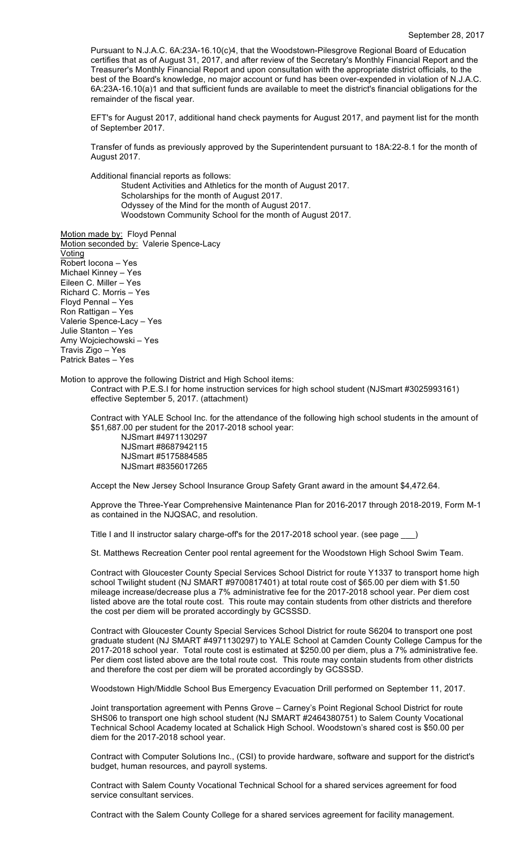Pursuant to N.J.A.C. 6A:23A-16.10(c)4, that the Woodstown-Pilesgrove Regional Board of Education certifies that as of August 31, 2017, and after review of the Secretary's Monthly Financial Report and the Treasurer's Monthly Financial Report and upon consultation with the appropriate district officials, to the best of the Board's knowledge, no major account or fund has been over-expended in violation of N.J.A.C. 6A:23A-16.10(a)1 and that sufficient funds are available to meet the district's financial obligations for the remainder of the fiscal year.

EFT's for August 2017, additional hand check payments for August 2017, and payment list for the month of September 2017.

Transfer of funds as previously approved by the Superintendent pursuant to 18A:22-8.1 for the month of August 2017.

Additional financial reports as follows:

Student Activities and Athletics for the month of August 2017. Scholarships for the month of August 2017. Odyssey of the Mind for the month of August 2017. Woodstown Community School for the month of August 2017.

Motion made by: Floyd Pennal Motion seconded by: Valerie Spence-Lacy Voting Robert Iocona – Yes Michael Kinney – Yes Eileen C. Miller – Yes Richard C. Morris – Yes Floyd Pennal – Yes Ron Rattigan – Yes Valerie Spence-Lacy – Yes Julie Stanton – Yes Amy Wojciechowski – Yes Travis Zigo – Yes Patrick Bates – Yes

Motion to approve the following District and High School items:

Contract with P.E.S.I for home instruction services for high school student (NJSmart #3025993161) effective September 5, 2017. (attachment)

Contract with YALE School Inc. for the attendance of the following high school students in the amount of \$51,687.00 per student for the 2017-2018 school year:

NJSmart #4971130297 NJSmart #8687942115 NJSmart #5175884585 NJSmart #8356017265

Accept the New Jersey School Insurance Group Safety Grant award in the amount \$4,472.64.

Approve the Three-Year Comprehensive Maintenance Plan for 2016-2017 through 2018-2019, Form M-1 as contained in the NJQSAC, and resolution.

Title I and II instructor salary charge-off's for the 2017-2018 school year. (see page )

St. Matthews Recreation Center pool rental agreement for the Woodstown High School Swim Team.

Contract with Gloucester County Special Services School District for route Y1337 to transport home high school Twilight student (NJ SMART #9700817401) at total route cost of \$65.00 per diem with \$1.50 mileage increase/decrease plus a 7% administrative fee for the 2017-2018 school year. Per diem cost listed above are the total route cost. This route may contain students from other districts and therefore the cost per diem will be prorated accordingly by GCSSSD.

Contract with Gloucester County Special Services School District for route S6204 to transport one post graduate student (NJ SMART #4971130297) to YALE School at Camden County College Campus for the 2017-2018 school year. Total route cost is estimated at \$250.00 per diem, plus a 7% administrative fee. Per diem cost listed above are the total route cost. This route may contain students from other districts and therefore the cost per diem will be prorated accordingly by GCSSSD.

Woodstown High/Middle School Bus Emergency Evacuation Drill performed on September 11, 2017.

Joint transportation agreement with Penns Grove – Carney's Point Regional School District for route SHS06 to transport one high school student (NJ SMART #2464380751) to Salem County Vocational Technical School Academy located at Schalick High School. Woodstown's shared cost is \$50.00 per diem for the 2017-2018 school year.

Contract with Computer Solutions Inc., (CSI) to provide hardware, software and support for the district's budget, human resources, and payroll systems.

Contract with Salem County Vocational Technical School for a shared services agreement for food service consultant services.

Contract with the Salem County College for a shared services agreement for facility management.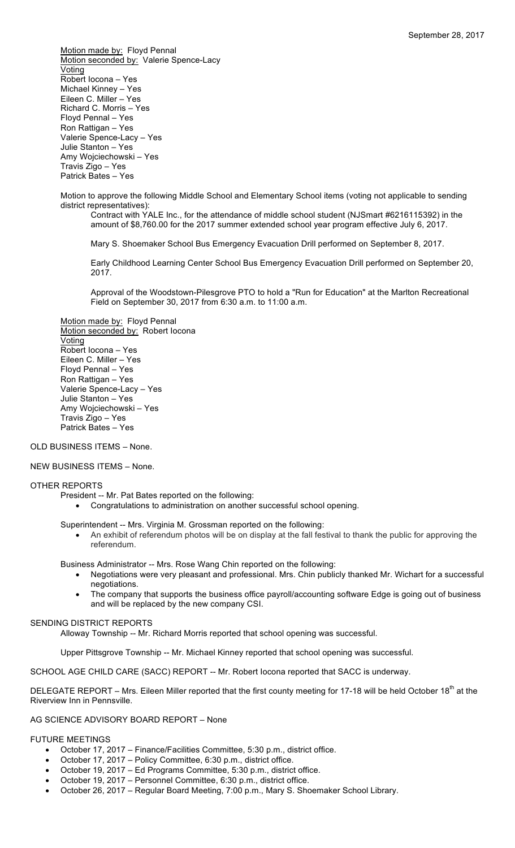Motion made by: Floyd Pennal Motion seconded by: Valerie Spence-Lacy Voting Robert Iocona – Yes Michael Kinney – Yes Eileen C. Miller – Yes Richard C. Morris – Yes Floyd Pennal – Yes Ron Rattigan – Yes Valerie Spence-Lacy – Yes Julie Stanton – Yes Amy Wojciechowski – Yes Travis Zigo – Yes Patrick Bates – Yes

Motion to approve the following Middle School and Elementary School items (voting not applicable to sending district representatives):

Contract with YALE Inc., for the attendance of middle school student (NJSmart #6216115392) in the amount of \$8,760.00 for the 2017 summer extended school year program effective July 6, 2017.

Mary S. Shoemaker School Bus Emergency Evacuation Drill performed on September 8, 2017.

Early Childhood Learning Center School Bus Emergency Evacuation Drill performed on September 20, 2017.

Approval of the Woodstown-Pilesgrove PTO to hold a "Run for Education" at the Marlton Recreational Field on September 30, 2017 from 6:30 a.m. to 11:00 a.m.

Motion made by: Floyd Pennal Motion seconded by: Robert Iocona Voting Robert Iocona – Yes Eileen C. Miller – Yes Floyd Pennal – Yes Ron Rattigan – Yes Valerie Spence-Lacy – Yes Julie Stanton – Yes Amy Wojciechowski – Yes Travis Zigo – Yes Patrick Bates – Yes

### OLD BUSINESS ITEMS – None.

### NEW BUSINESS ITEMS – None.

### OTHER REPORTS

- President -- Mr. Pat Bates reported on the following:
	- Congratulations to administration on another successful school opening.

Superintendent -- Mrs. Virginia M. Grossman reported on the following:

• An exhibit of referendum photos will be on display at the fall festival to thank the public for approving the referendum.

Business Administrator -- Mrs. Rose Wang Chin reported on the following:

- Negotiations were very pleasant and professional. Mrs. Chin publicly thanked Mr. Wichart for a successful negotiations.
- The company that supports the business office payroll/accounting software Edge is going out of business and will be replaced by the new company CSI.

### SENDING DISTRICT REPORTS

Alloway Township -- Mr. Richard Morris reported that school opening was successful.

Upper Pittsgrove Township -- Mr. Michael Kinney reported that school opening was successful.

SCHOOL AGE CHILD CARE (SACC) REPORT -- Mr. Robert locona reported that SACC is underway.

DELEGATE REPORT – Mrs. Eileen Miller reported that the first county meeting for 17-18 will be held October 18<sup>th</sup> at the Riverview Inn in Pennsville.

### AG SCIENCE ADVISORY BOARD REPORT – None

### FUTURE MEETINGS

- October 17, 2017 Finance/Facilities Committee, 5:30 p.m., district office.
- October 17, 2017 Policy Committee, 6:30 p.m., district office.
- October 19, 2017 Ed Programs Committee, 5:30 p.m., district office.
- October 19, 2017 Personnel Committee, 6:30 p.m., district office.
- October 26, 2017 Regular Board Meeting, 7:00 p.m., Mary S. Shoemaker School Library.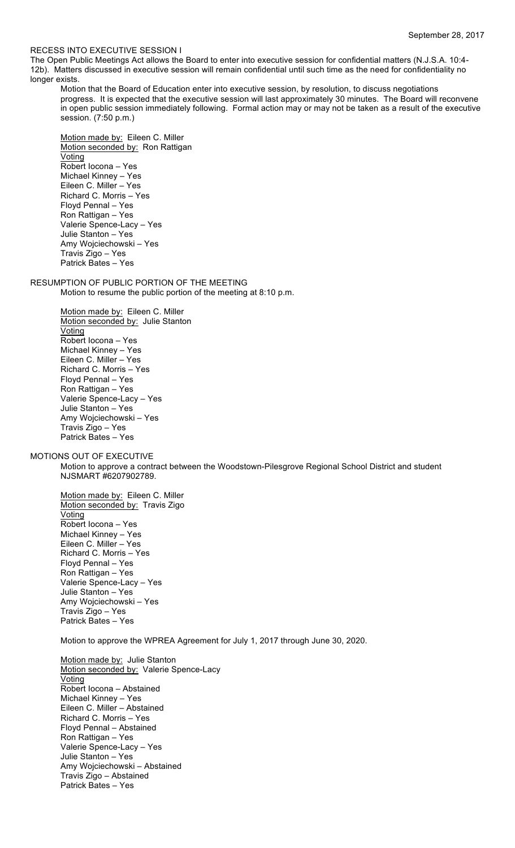### RECESS INTO EXECUTIVE SESSION I

The Open Public Meetings Act allows the Board to enter into executive session for confidential matters (N.J.S.A. 10:4- 12b). Matters discussed in executive session will remain confidential until such time as the need for confidentiality no longer exists.

Motion that the Board of Education enter into executive session, by resolution, to discuss negotiations progress. It is expected that the executive session will last approximately 30 minutes. The Board will reconvene in open public session immediately following. Formal action may or may not be taken as a result of the executive session. (7:50 p.m.)

Motion made by: Eileen C. Miller Motion seconded by: Ron Rattigan Voting Robert Iocona – Yes Michael Kinney – Yes Eileen C. Miller – Yes Richard C. Morris – Yes Floyd Pennal – Yes Ron Rattigan – Yes Valerie Spence-Lacy – Yes Julie Stanton – Yes Amy Wojciechowski – Yes Travis Zigo – Yes Patrick Bates – Yes

RESUMPTION OF PUBLIC PORTION OF THE MEETING Motion to resume the public portion of the meeting at 8:10 p.m.

> Motion made by: Eileen C. Miller Motion seconded by: Julie Stanton **Voting** Robert Iocona – Yes Michael Kinney – Yes Eileen C. Miller – Yes Richard C. Morris – Yes Floyd Pennal – Yes Ron Rattigan – Yes Valerie Spence-Lacy – Yes Julie Stanton – Yes Amy Wojciechowski – Yes Travis Zigo – Yes Patrick Bates – Yes

MOTIONS OUT OF EXECUTIVE

Motion to approve a contract between the Woodstown-Pilesgrove Regional School District and student NJSMART #6207902789.

Motion made by: Eileen C. Miller Motion seconded by: Travis Zigo Voting Robert Iocona – Yes Michael Kinney – Yes Eileen C. Miller – Yes Richard C. Morris – Yes Floyd Pennal – Yes Ron Rattigan – Yes Valerie Spence-Lacy – Yes Julie Stanton – Yes Amy Wojciechowski – Yes Travis Zigo – Yes Patrick Bates – Yes

Motion to approve the WPREA Agreement for July 1, 2017 through June 30, 2020.

Motion made by: Julie Stanton Motion seconded by: Valerie Spence-Lacy Voting Robert Iocona – Abstained Michael Kinney – Yes Eileen C. Miller – Abstained Richard C. Morris – Yes Floyd Pennal – Abstained Ron Rattigan – Yes Valerie Spence-Lacy – Yes Julie Stanton – Yes Amy Wojciechowski – Abstained Travis Zigo – Abstained Patrick Bates – Yes